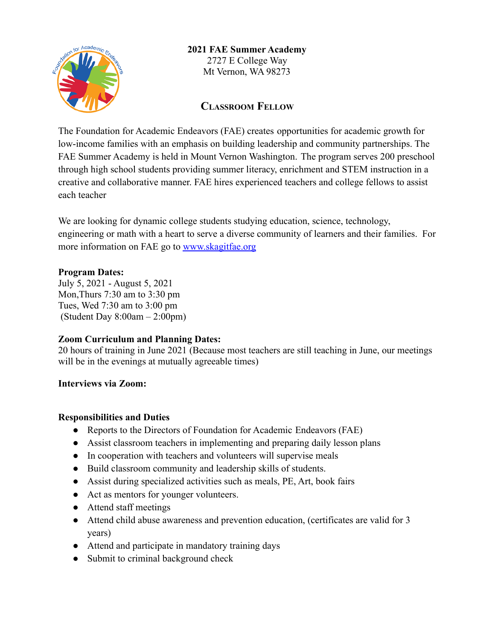

# **2021 FAE Summer Academy** 2727 E College Way

Mt Vernon, WA 98273

# **CLASSROOM FELLOW**

The Foundation for Academic Endeavors (FAE) creates opportunities for academic growth for low-income families with an emphasis on building leadership and community partnerships. The FAE Summer Academy is held in Mount Vernon Washington. The program serves 200 preschool through high school students providing summer literacy, enrichment and STEM instruction in a creative and collaborative manner. FAE hires experienced teachers and college fellows to assist each teacher

We are looking for dynamic college students studying education, science, technology, engineering or math with a heart to serve a diverse community of learners and their families. For more information on FAE go to [www.skagitfae.org](http://www.skagitfae.org)

## **Program Dates:**

July 5, 2021 - August 5, 2021 Mon,Thurs 7:30 am to 3:30 pm Tues, Wed 7:30 am to 3:00 pm (Student Day  $8:00am - 2:00pm$ )

#### **Zoom Curriculum and Planning Dates:**

20 hours of training in June 2021 (Because most teachers are still teaching in June, our meetings will be in the evenings at mutually agreeable times)

#### **Interviews via Zoom:**

#### **Responsibilities and Duties**

- Reports to the Directors of Foundation for Academic Endeavors (FAE)
- Assist classroom teachers in implementing and preparing daily lesson plans
- In cooperation with teachers and volunteers will supervise meals
- Build classroom community and leadership skills of students.
- Assist during specialized activities such as meals, PE, Art, book fairs
- Act as mentors for younger volunteers.
- Attend staff meetings
- Attend child abuse awareness and prevention education, (certificates are valid for 3 years)
- Attend and participate in mandatory training days
- Submit to criminal background check